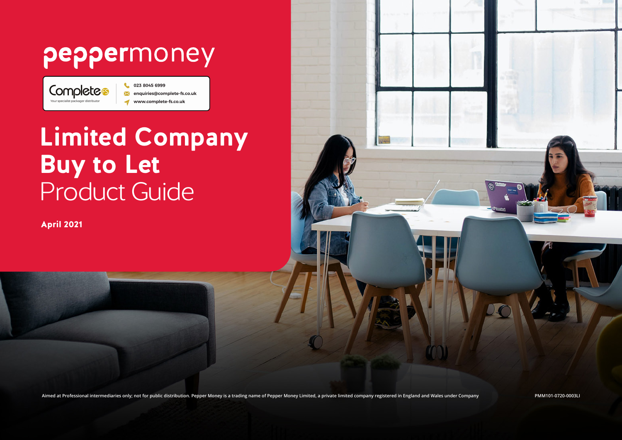# peppermoney

Completes Your specialist packager distribute

023 8045 6999 enquiries@complete-fs.co.uk www.complete-fs.co.uk

# **Limited Company Buy to Let**  Product Guide

April 2021

Aimed at Professional intermediaries only; not for public distribution. Pepper Money is a trading name of Pepper Money Limited, a private limited company registered in England and Wales under Company match and Wales under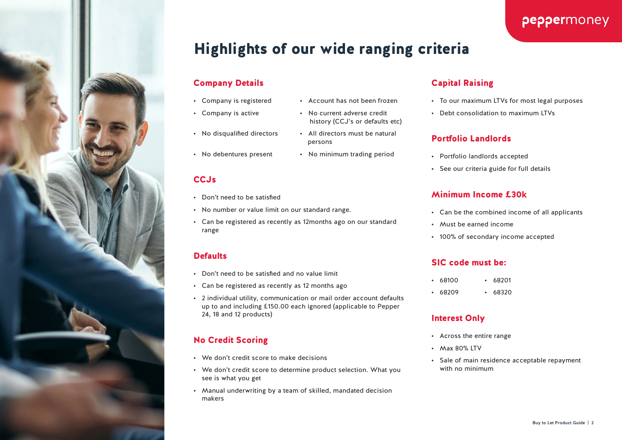

## peppermoney

## Highlights of our wide ranging criteria

persons

history (CCJ's or defaults etc)

#### Company Details

- Company is registered Account has not been frozen
- Company is active No current adverse credit
- No disqualified directors All directors must be natural
- No debentures present No minimum trading period

#### CCJs

- Don't need to be satisfied
- No number or value limit on our standard range.
- Can be registered as recently as 12months ago on our standard range

#### **Defaults**

- Don't need to be satisfied and no value limit
- Can be registered as recently as 12 months ago
- 2 individual utility, communication or mail order account defaults up to and including £150.00 each ignored (applicable to Pepper 24, 18 and 12 products)

## No Credit Scoring

- We don't credit score to make decisions
- We don't credit score to determine product selection. What you see is what you get
- Manual underwriting by a team of skilled, mandated decision makers

## Capital Raising

- To our maximum LTVs for most legal purposes
- Debt consolidation to maximum LTVs

#### Portfolio Landlords

- Portfolio landlords accepted
- See our criteria guide for full details

#### Minimum Income £30k

- Can be the combined income of all applicants
- Must be earned income
- 100% of secondary income accepted

#### SIC code must be:

- 68100 68201
- 68209 68320

#### Interest Only

- Across the entire range
- Max 80% LTV
- Sale of main residence acceptable repayment with no minimum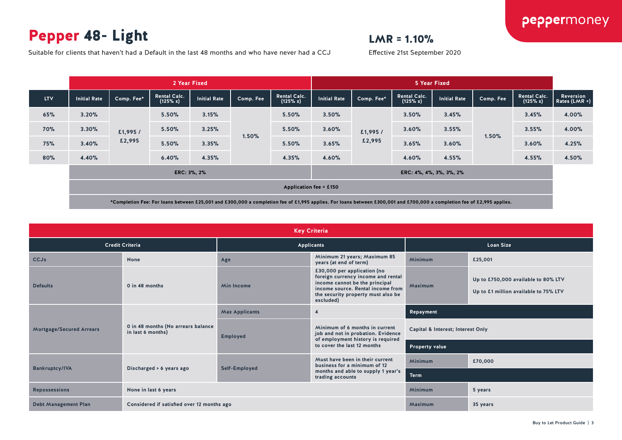## Pepper 48- Light

## $LMR = 1.10%$

Effective 21st September 2020

Suitable for clients that haven't had a Default in the last 48 months and who have never had a CCJ

|            |                                        |            | 2 Year Fixed                    |                     |           |                                 | 5 Year Fixed        |            |                                 |              |           |                                 |                              |
|------------|----------------------------------------|------------|---------------------------------|---------------------|-----------|---------------------------------|---------------------|------------|---------------------------------|--------------|-----------|---------------------------------|------------------------------|
| <b>LTV</b> | <b>Initial Rate</b>                    | Comp. Fee* | <b>Rental Calc.</b><br>(125% x) | <b>Initial Rate</b> | Comp. Fee | <b>Rental Calc.</b><br>(125% x) | <b>Initial Rate</b> | Comp. Fee* | <b>Rental Calc.</b><br>(125% x) | Initial Rate | Comp. Fee | <b>Rental Calc.</b><br>(125% x) | Reversion<br>Rates $(LMR +)$ |
| 65%        | 3.20%                                  |            | 5.50%                           | 3.15%               |           | 5.50%                           | 3.50%               |            | 3.50%                           | 3.45%        |           | 3.45%                           | 4.00%                        |
| <b>70%</b> | 3.30%                                  | £1,995/    | 5.50%                           | 3.25%               |           | 5.50%                           | 3.60%               | £1,995 /   | 3.60%                           | 3.55%        |           | 3.55%                           | 4.00%                        |
| 75%        | 3.40%                                  | £2,995     | 5.50%                           | 3.35%               | 1.50%     | 5.50%                           | 3.65%               | £2,995     | 3.65%                           | 3.60%        | 1.50%     | 3.60%                           | 4.25%                        |
| 80%        | 4.40%                                  |            | 6.40%                           | 4.35%               |           | 4.35%                           | 4.60%               |            | 4.60%                           | 4.55%        |           | 4.55%                           | 4.50%                        |
|            | ERC: 3%, 2%<br>ERC: 4%, 4%, 3%, 3%, 2% |            |                                 |                     |           |                                 |                     |            |                                 |              |           |                                 |                              |
|            | <b>Application fee = £150</b>          |            |                                 |                     |           |                                 |                     |            |                                 |              |           |                                 |                              |

|                             | <b>Key Criteria</b>                                     |                                         |                                                                                                                                                                                             |                                   |                                                                              |  |  |  |  |  |
|-----------------------------|---------------------------------------------------------|-----------------------------------------|---------------------------------------------------------------------------------------------------------------------------------------------------------------------------------------------|-----------------------------------|------------------------------------------------------------------------------|--|--|--|--|--|
|                             | <b>Credit Criteria</b>                                  |                                         | <b>Applicants</b>                                                                                                                                                                           | <b>Loan Size</b>                  |                                                                              |  |  |  |  |  |
| <b>CCJs</b>                 | None                                                    | Age                                     | Minimum 21 years; Maximum 85<br>years (at end of term)                                                                                                                                      | <b>Minimum</b>                    | £25,001                                                                      |  |  |  |  |  |
| <b>Defaults</b>             | 0 in 48 months                                          | <b>Min Income</b>                       | £30,000 per application (no<br>foreign currency income and rental<br>income cannot be the principal<br>income source. Rental income from<br>the security property must also be<br>excluded) | Maximum                           | Up to £750,000 available to 80% LTV<br>Up to £1 million available to 75% LTV |  |  |  |  |  |
|                             |                                                         | <b>Max Applicants</b><br>$\overline{4}$ |                                                                                                                                                                                             | Repayment                         |                                                                              |  |  |  |  |  |
| Mortgage/Secured Arrears    | 0 in 48 months (No arrears balance<br>in last 6 months) | <b>Employed</b>                         | Minimum of 6 months in current<br>job and not in probation. Evidence<br>of employment history is required                                                                                   | Capital & Interest; Interest Only |                                                                              |  |  |  |  |  |
|                             |                                                         |                                         | to cover the last 12 months                                                                                                                                                                 | Property value                    |                                                                              |  |  |  |  |  |
|                             |                                                         |                                         | Must have been in their current<br>business for a minimum of 12                                                                                                                             | Minimum                           | £70,000                                                                      |  |  |  |  |  |
| <b>Bankruptcy/IVA</b>       | Discharged > 6 years ago                                | Self-Employed                           | months and able to supply 1 year's<br>trading accounts                                                                                                                                      | <b>Term</b>                       |                                                                              |  |  |  |  |  |
| <b>Repossessions</b>        | None in last 6 years                                    |                                         |                                                                                                                                                                                             |                                   | 5 years                                                                      |  |  |  |  |  |
| <b>Debt Management Plan</b> | Considered if satisfied over 12 months ago              |                                         | Maximum                                                                                                                                                                                     | 35 years                          |                                                                              |  |  |  |  |  |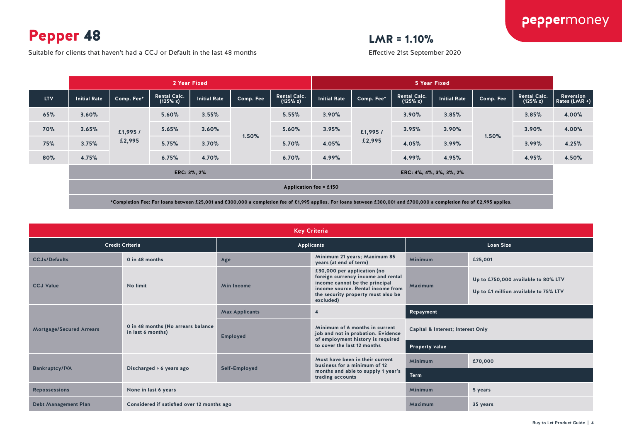Pepper 48

 $LMR = 1.10%$ 

Suitable for clients that haven't had a CCJ or Default in the last 48 months

Effective 21st September 2020

|            |                                        | 2 Year Fixed |                                 |                     |           |                                 |                     | 5 Year Fixed |                                 |                     |           |                                 |                              |
|------------|----------------------------------------|--------------|---------------------------------|---------------------|-----------|---------------------------------|---------------------|--------------|---------------------------------|---------------------|-----------|---------------------------------|------------------------------|
| <b>LTV</b> | <b>Initial Rate</b>                    | Comp. Fee*   | <b>Rental Calc.</b><br>(125% x) | <b>Initial Rate</b> | Comp. Fee | <b>Rental Calc.</b><br>(125% x) | <b>Initial Rate</b> | Comp. Fee*   | <b>Rental Calc.</b><br>(125% x) | <b>Initial Rate</b> | Comp. Fee | <b>Rental Calc.</b><br>(125% x) | Reversion<br>Rates $(LMR +)$ |
| 65%        | 3.60%                                  |              | 5.60%                           | 3.55%               |           | 5.55%                           | 3.90%               |              | 3.90%                           | 3.85%               |           | 3.85%                           | 4.00%                        |
| <b>70%</b> | 3.65%                                  | £1,995/      | 5.65%                           | 3.60%               | 1.50%     | 5.60%                           | 3.95%               | £1,995/      | 3.95%                           | 3.90%               |           | 3.90%                           | 4.00%                        |
| <b>75%</b> | 3.75%                                  | £2,995       | 5.75%                           | 3.70%               |           | 5.70%                           | 4.05%               | £2,995       | 4.05%                           | 3.99%               | 1.50%     | 3.99%                           | 4.25%                        |
| 80%        | 4.75%                                  | 6.75%        |                                 | 4.70%               |           | 6.70%                           | 4.99%               |              | 4.99%                           | 4.95%               |           | 4.95%                           | 4.50%                        |
|            | ERC: 3%, 2%<br>ERC: 4%, 4%, 3%, 3%, 2% |              |                                 |                     |           |                                 |                     |              |                                 |                     |           |                                 |                              |
|            | Application fee = £150                 |              |                                 |                     |           |                                 |                     |              |                                 |                     |           |                                 |                              |

|                                 | <b>Key Criteria</b>                                     |                                                               |                                                                                                                                                                                             |                                   |                                                                              |  |  |  |  |  |
|---------------------------------|---------------------------------------------------------|---------------------------------------------------------------|---------------------------------------------------------------------------------------------------------------------------------------------------------------------------------------------|-----------------------------------|------------------------------------------------------------------------------|--|--|--|--|--|
|                                 | <b>Credit Criteria</b>                                  |                                                               | <b>Applicants</b>                                                                                                                                                                           | <b>Loan Size</b>                  |                                                                              |  |  |  |  |  |
| <b>CCJs/Defaults</b>            | 0 in 48 months                                          | Minimum 21 years; Maximum 85<br>Age<br>years (at end of term) |                                                                                                                                                                                             | <b>Minimum</b>                    | £25,001                                                                      |  |  |  |  |  |
| <b>CCJ Value</b>                | No limit                                                | <b>Min Income</b>                                             | £30,000 per application (no<br>foreign currency income and rental<br>income cannot be the principal<br>income source. Rental income from<br>the security property must also be<br>excluded) | Maximum                           | Up to £750,000 available to 80% LTV<br>Up to £1 million available to 75% LTV |  |  |  |  |  |
|                                 |                                                         | <b>Max Applicants</b><br>$\overline{4}$                       |                                                                                                                                                                                             | Repayment                         |                                                                              |  |  |  |  |  |
| <b>Mortgage/Secured Arrears</b> | 0 in 48 months (No arrears balance<br>in last 6 months) | <b>Employed</b>                                               | Minimum of 6 months in current<br>job and not in probation. Evidence<br>of employment history is required                                                                                   | Capital & Interest; Interest Only |                                                                              |  |  |  |  |  |
|                                 |                                                         |                                                               | to cover the last 12 months                                                                                                                                                                 | Property value                    |                                                                              |  |  |  |  |  |
|                                 |                                                         |                                                               | Must have been in their current<br>business for a minimum of 12                                                                                                                             | <b>Minimum</b>                    | £70,000                                                                      |  |  |  |  |  |
| <b>Bankruptcy/IVA</b>           | Discharged > 6 years ago                                | Self-Employed                                                 | months and able to supply 1 year's<br>trading accounts                                                                                                                                      | <b>Term</b>                       |                                                                              |  |  |  |  |  |
| <b>Repossessions</b>            | None in last 6 years                                    |                                                               |                                                                                                                                                                                             |                                   | 5 years                                                                      |  |  |  |  |  |
| <b>Debt Management Plan</b>     | Considered if satisfied over 12 months ago              |                                                               | Maximum                                                                                                                                                                                     | 35 years                          |                                                                              |  |  |  |  |  |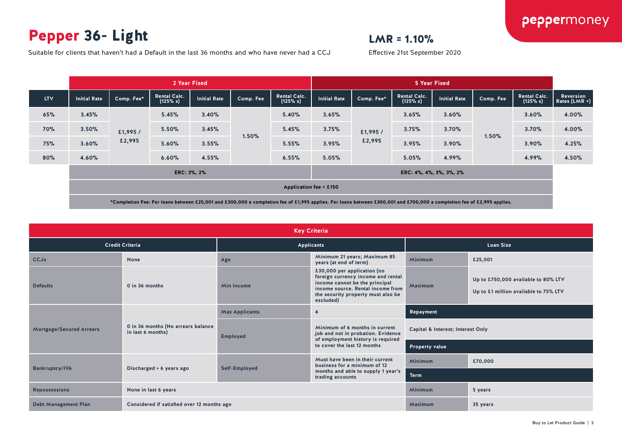## Pepper 36- Light

## $LMR = 1.10%$

Effective 21st September 2020

Suitable for clients that haven't had a Default in the last 36 months and who have never had a CCJ

| 2 Year Fixed                           |            |                                 |                     |           |                                 | 5 Year Fixed |            |                                 |              |           |                                 |                              |
|----------------------------------------|------------|---------------------------------|---------------------|-----------|---------------------------------|--------------|------------|---------------------------------|--------------|-----------|---------------------------------|------------------------------|
| <b>Initial Rate</b>                    | Comp. Fee* | <b>Rental Calc.</b><br>(125% x) | <b>Initial Rate</b> | Comp. Fee | <b>Rental Calc.</b><br>(125% x) | Initial Rate | Comp. Fee* | <b>Rental Calc.</b><br>(125% x) | Initial Rate | Comp. Fee | <b>Rental Calc.</b><br>(125% x) | Reversion<br>Rates $(LMR +)$ |
| 3.45%                                  |            | 5.45%                           | 3.40%               |           | 5.40%                           | 3.65%        |            | 3.65%                           | 3.60%        |           | 3.60%                           | 4.00%                        |
| 3.50%                                  | £1,995/    | 5.50%                           | 3.45%               | 1.50%     | 5.45%                           | 3.75%        | £1,995 /   | 3.75%                           | 3.70%        |           | 3.70%                           | 4.00%                        |
| 3.60%                                  | £2,995     | 5.60%                           | 3.55%               |           | 5.55%                           | 3.95%        | £2,995     | 3.95%                           | 3.90%        |           | 3.90%                           | 4.25%                        |
| 4.60%                                  |            | 6.60%                           | 4.55%               |           | 6.55%                           | 5.05%        |            | 5.05%                           | 4.99%        |           | 4.99%                           | 4.50%                        |
| ERC: 3%, 2%<br>ERC: 4%, 4%, 3%, 3%, 2% |            |                                 |                     |           |                                 |              |            |                                 |              |           |                                 |                              |
| Application fee = £150                 |            |                                 |                     |           |                                 |              |            |                                 |              |           |                                 |                              |
|                                        |            |                                 |                     |           |                                 |              |            |                                 |              |           | 1.50%                           |                              |

|                             | <b>Key Criteria</b>                                     |                                         |                                                                                                                                                                                             |                                   |                                                                              |  |  |  |  |  |
|-----------------------------|---------------------------------------------------------|-----------------------------------------|---------------------------------------------------------------------------------------------------------------------------------------------------------------------------------------------|-----------------------------------|------------------------------------------------------------------------------|--|--|--|--|--|
|                             | <b>Credit Criteria</b>                                  |                                         | <b>Applicants</b>                                                                                                                                                                           | <b>Loan Size</b>                  |                                                                              |  |  |  |  |  |
| <b>CCJs</b>                 | None                                                    | Age                                     | Minimum 21 years; Maximum 85<br>years (at end of term)                                                                                                                                      | <b>Minimum</b>                    | £25,001                                                                      |  |  |  |  |  |
| <b>Defaults</b>             | 0 in 36 months                                          | <b>Min Income</b>                       | £30,000 per application (no<br>foreign currency income and rental<br>income cannot be the principal<br>income source. Rental income from<br>the security property must also be<br>excluded) | Maximum                           | Up to £750,000 available to 80% LTV<br>Up to £1 million available to 75% LTV |  |  |  |  |  |
|                             |                                                         | <b>Max Applicants</b><br>$\overline{4}$ |                                                                                                                                                                                             | Repayment                         |                                                                              |  |  |  |  |  |
| Mortgage/Secured Arrears    | 0 in 36 months (No arrears balance<br>in last 6 months) | <b>Employed</b>                         | Minimum of 6 months in current<br>job and not in probation. Evidence<br>of employment history is required                                                                                   | Capital & Interest; Interest Only |                                                                              |  |  |  |  |  |
|                             |                                                         |                                         | to cover the last 12 months                                                                                                                                                                 | Property value                    |                                                                              |  |  |  |  |  |
|                             |                                                         |                                         | Must have been in their current<br>business for a minimum of 12                                                                                                                             | <b>Minimum</b>                    | £70,000                                                                      |  |  |  |  |  |
| <b>Bankruptcy/IVA</b>       | Discharged > 6 years ago                                | Self-Employed                           | months and able to supply 1 year's<br>trading accounts                                                                                                                                      | <b>Term</b>                       |                                                                              |  |  |  |  |  |
| <b>Repossessions</b>        | None in last 6 years                                    |                                         |                                                                                                                                                                                             |                                   | 5 years                                                                      |  |  |  |  |  |
| <b>Debt Management Plan</b> | Considered if satisfied over 12 months ago              |                                         | Maximum                                                                                                                                                                                     | 35 years                          |                                                                              |  |  |  |  |  |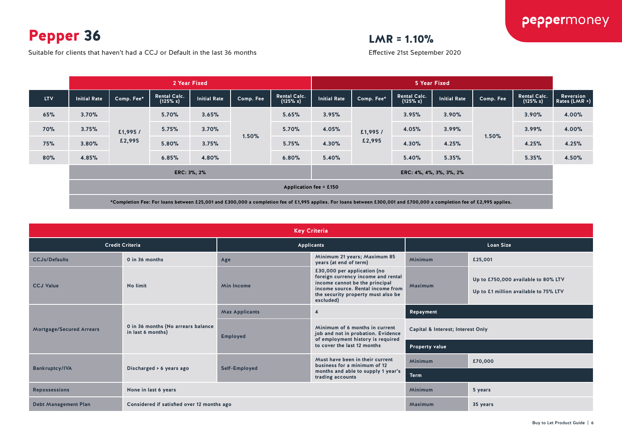Pepper 36

Suitable for clients that haven't had a CCJ or Default in the last 36 months

## $LMR = 1.10%$

Effective 21st September 2020

|            |                                        | 2 Year Fixed |                                 |                     |           |                                 |                     | 5 Year Fixed |                                 |                     |           |                                 |                            |
|------------|----------------------------------------|--------------|---------------------------------|---------------------|-----------|---------------------------------|---------------------|--------------|---------------------------------|---------------------|-----------|---------------------------------|----------------------------|
| <b>LTV</b> | <b>Initial Rate</b>                    | Comp. Fee* ' | <b>Rental Calc.</b><br>(125% x) | <b>Initial Rate</b> | Comp. Fee | <b>Rental Calc.</b><br>(125% x) | <b>Initial Rate</b> | Comp. Fee*   | <b>Rental Calc.</b><br>(125% x) | <b>Initial Rate</b> | Comp. Fee | <b>Rental Calc.</b><br>(125% x) | Reversion<br>Rates (LMR +) |
| 65%        | 3.70%                                  | £1,995/      | 5.70%                           | 3.65%               |           | 5.65%                           | 3.95%               |              | 3.95%                           | 3.90%               |           | 3.90%                           | 4.00%                      |
| <b>70%</b> | 3.75%                                  |              | 5.75%                           | 3.70%               |           | 5.70%                           | 4.05%               | £1,995/      | 4.05%                           | 3.99%               |           | 3.99%                           | 4.00%                      |
| 75%        | 3.80%                                  | £2,995       | 5.80%                           | 3.75%               | 1.50%     | 5.75%                           | 4.30%               | £2,995       | 4.30%                           | 4.25%               | 1.50%     | 4.25%                           | 4.25%                      |
| 80%        | 4.85%                                  |              | 6.85%                           | 4.80%               |           | 6.80%                           | 5.40%               |              | 5.40%                           | 5.35%               |           | 5.35%                           | 4.50%                      |
|            | ERC: 3%, 2%<br>ERC: 4%, 4%, 3%, 3%, 2% |              |                                 |                     |           |                                 |                     |              |                                 |                     |           |                                 |                            |
|            | Application fee = £150                 |              |                                 |                     |           |                                 |                     |              |                                 |                     |           |                                 |                            |

|                                 | <b>Key Criteria</b>                                     |                                                               |                                                                                                                                                                                             |                                   |                                                                              |  |  |  |  |  |
|---------------------------------|---------------------------------------------------------|---------------------------------------------------------------|---------------------------------------------------------------------------------------------------------------------------------------------------------------------------------------------|-----------------------------------|------------------------------------------------------------------------------|--|--|--|--|--|
|                                 | <b>Credit Criteria</b>                                  |                                                               | <b>Applicants</b>                                                                                                                                                                           | <b>Loan Size</b>                  |                                                                              |  |  |  |  |  |
| <b>CCJs/Defaults</b>            | 0 in 36 months                                          | Minimum 21 years; Maximum 85<br>Age<br>years (at end of term) |                                                                                                                                                                                             | Minimum                           | £25,001                                                                      |  |  |  |  |  |
| <b>CCJ Value</b>                | No limit                                                | <b>Min Income</b>                                             | £30,000 per application (no<br>foreign currency income and rental<br>income cannot be the principal<br>income source. Rental income from<br>the security property must also be<br>excluded) | Maximum                           | Up to £750,000 available to 80% LTV<br>Up to £1 million available to 75% LTV |  |  |  |  |  |
|                                 |                                                         | <b>Max Applicants</b><br>$\overline{\mathbf{4}}$              |                                                                                                                                                                                             | Repayment                         |                                                                              |  |  |  |  |  |
| <b>Mortgage/Secured Arrears</b> | 0 in 36 months (No arrears balance<br>in last 6 months) | <b>Employed</b>                                               | Minimum of 6 months in current<br>job and not in probation. Evidence<br>of employment history is required                                                                                   | Capital & Interest; Interest Only |                                                                              |  |  |  |  |  |
|                                 |                                                         |                                                               | to cover the last 12 months                                                                                                                                                                 | <b>Property value</b>             |                                                                              |  |  |  |  |  |
|                                 |                                                         |                                                               | Must have been in their current<br>business for a minimum of 12                                                                                                                             | <b>Minimum</b>                    | £70,000                                                                      |  |  |  |  |  |
| <b>Bankruptcy/IVA</b>           | Discharged > 6 years ago                                | Self-Employed                                                 | months and able to supply 1 year's<br>trading accounts                                                                                                                                      | <b>Term</b>                       |                                                                              |  |  |  |  |  |
| <b>Repossessions</b>            | None in last 6 years                                    |                                                               |                                                                                                                                                                                             |                                   | 5 years                                                                      |  |  |  |  |  |
| <b>Debt Management Plan</b>     | Considered if satisfied over 12 months ago              |                                                               |                                                                                                                                                                                             | Maximum                           | 35 years                                                                     |  |  |  |  |  |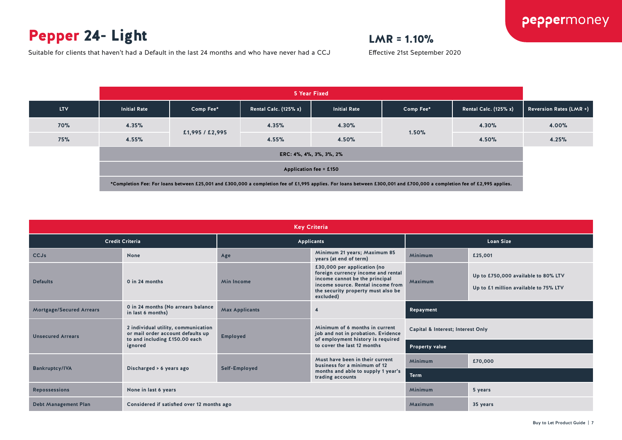## Pepper 24- Light

## $LMR = 1.10%$

Effective 21st September 2020

Suitable for clients that haven't had a Default in the last 24 months and who have never had a CCJ

|                                                                                                                                                                         |                     |                 |                              | 5 Year Fixed            |           |                              |                                |  |
|-------------------------------------------------------------------------------------------------------------------------------------------------------------------------|---------------------|-----------------|------------------------------|-------------------------|-----------|------------------------------|--------------------------------|--|
| <b>LTV</b>                                                                                                                                                              | <b>Initial Rate</b> | Comp Fee*       | <b>Rental Calc. (125% x)</b> | <b>Initial Rate</b>     | Comp Fee* | <b>Rental Calc. (125% x)</b> | <b>Reversion Rates (LMR +)</b> |  |
| 70%                                                                                                                                                                     | 4.35%               |                 | 4.35%                        | 4.30%                   |           | 4.30%                        | 4.00%                          |  |
| 75%                                                                                                                                                                     | 4.55%               | £1,995 / £2,995 | 4.55%                        | 4.50%                   | 1.50%     | 4.50%                        | 4.25%                          |  |
|                                                                                                                                                                         |                     |                 |                              | ERC: 4%, 4%, 3%, 3%, 2% |           |                              |                                |  |
| <b>Application fee = £150</b>                                                                                                                                           |                     |                 |                              |                         |           |                              |                                |  |
| *Completion Fee: For loans between £25,001 and £300,000 a completion fee of £1,995 applies. For loans between £300,001 and £700,000 a completion fee of £2,995 applies. |                     |                 |                              |                         |           |                              |                                |  |

|                             | <b>Key Criteria</b>                                                                                       |                                         |                                                                                                                                                                                             |                                   |                                                                              |  |  |  |  |  |
|-----------------------------|-----------------------------------------------------------------------------------------------------------|-----------------------------------------|---------------------------------------------------------------------------------------------------------------------------------------------------------------------------------------------|-----------------------------------|------------------------------------------------------------------------------|--|--|--|--|--|
|                             | <b>Credit Criteria</b>                                                                                    | Applicants                              |                                                                                                                                                                                             | <b>Loan Size</b>                  |                                                                              |  |  |  |  |  |
| <b>CCJs</b>                 | <b>None</b>                                                                                               | Age                                     | Minimum 21 years; Maximum 85<br>years (at end of term)                                                                                                                                      | Minimum                           | £25,001                                                                      |  |  |  |  |  |
| <b>Defaults</b>             | 0 in 24 months                                                                                            | <b>Min Income</b>                       | £30,000 per application (no<br>foreign currency income and rental<br>income cannot be the principal<br>income source. Rental income from<br>the security property must also be<br>excluded) | Maximum                           | Up to £750,000 available to 80% LTV<br>Up to £1 million available to 75% LTV |  |  |  |  |  |
| Mortgage/Secured Arrears    | 0 in 24 months (No arrears balance<br>in last 6 months)                                                   | <b>Max Applicants</b><br>$\overline{4}$ |                                                                                                                                                                                             | Repayment                         |                                                                              |  |  |  |  |  |
| <b>Unsecured Arrears</b>    | 2 individual utility, communication<br>or mail order account defaults up<br>to and including £150.00 each | <b>Employed</b>                         | Minimum of 6 months in current<br>job and not in probation. Evidence<br>of employment history is required                                                                                   | Capital & Interest; Interest Only |                                                                              |  |  |  |  |  |
|                             | ignored                                                                                                   |                                         | to cover the last 12 months                                                                                                                                                                 | <b>Property value</b>             |                                                                              |  |  |  |  |  |
|                             |                                                                                                           |                                         | Must have been in their current<br>business for a minimum of 12                                                                                                                             | Minimum                           | £70,000                                                                      |  |  |  |  |  |
| <b>Bankruptcy/IVA</b>       | Discharged > 6 years ago                                                                                  | Self-Employed                           | <b>Term</b>                                                                                                                                                                                 |                                   |                                                                              |  |  |  |  |  |
| <b>Repossessions</b>        | None in last 6 years                                                                                      |                                         |                                                                                                                                                                                             | Minimum                           | 5 years                                                                      |  |  |  |  |  |
| <b>Debt Management Plan</b> | Considered if satisfied over 12 months ago                                                                |                                         |                                                                                                                                                                                             | Maximum                           | 35 years                                                                     |  |  |  |  |  |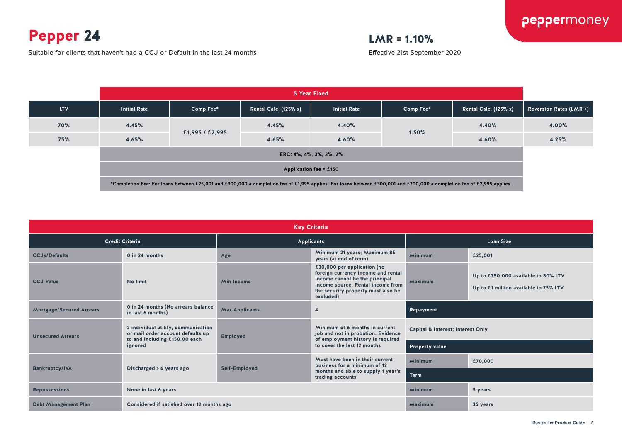Pepper 24

Suitable for clients that haven't had a CCJ or Default in the last 24 months

## $LMR = 1.10%$

Effective 21st September 2020

|                                                                                                                                                                         |                     |                 |                              | 5 Year Fixed        |           |                              |                         |  |
|-------------------------------------------------------------------------------------------------------------------------------------------------------------------------|---------------------|-----------------|------------------------------|---------------------|-----------|------------------------------|-------------------------|--|
| <b>LTV</b>                                                                                                                                                              | <b>Initial Rate</b> | Comp Fee*       | <b>Rental Calc. (125% x)</b> | <b>Initial Rate</b> | Comp Fee* | <b>Rental Calc. (125% x)</b> | Reversion Rates (LMR +) |  |
| <b>70%</b>                                                                                                                                                              | 4.45%               |                 | 4.45%                        | 4.40%               |           | 4.40%                        | 4.00%                   |  |
| 75%                                                                                                                                                                     | 4.65%               | £1,995 / £2,995 | 4.65%                        | 4.60%               | 1.50%     | 4.60%                        | 4.25%                   |  |
|                                                                                                                                                                         |                     |                 | ERC: 4%, 4%, 3%, 3%, 2%      |                     |           |                              |                         |  |
| <b>Application fee = £150</b>                                                                                                                                           |                     |                 |                              |                     |           |                              |                         |  |
| *Completion Fee: For loans between £25,001 and £300,000 a completion fee of £1,995 applies. For loans between £300,001 and £700,000 a completion fee of £2,995 applies. |                     |                 |                              |                     |           |                              |                         |  |

| <b>Key Criteria</b>             |                                                                                                           |                                         |                                                                                                                                                                                             |                                                                                         |          |  |  |  |  |
|---------------------------------|-----------------------------------------------------------------------------------------------------------|-----------------------------------------|---------------------------------------------------------------------------------------------------------------------------------------------------------------------------------------------|-----------------------------------------------------------------------------------------|----------|--|--|--|--|
|                                 | <b>Credit Criteria</b>                                                                                    |                                         | <b>Applicants</b>                                                                                                                                                                           | <b>Loan Size</b>                                                                        |          |  |  |  |  |
| <b>CCJs/Defaults</b>            | 0 in 24 months                                                                                            | Age                                     | Minimum 21 years; Maximum 85<br>years (at end of term)                                                                                                                                      | Minimum                                                                                 | £25,001  |  |  |  |  |
| <b>CCJ Value</b>                | No limit                                                                                                  | <b>Min Income</b>                       | £30,000 per application (no<br>foreign currency income and rental<br>income cannot be the principal<br>income source. Rental income from<br>the security property must also be<br>excluded) | Up to £750,000 available to 80% LTV<br>Maximum<br>Up to £1 million available to 75% LTV |          |  |  |  |  |
| <b>Mortgage/Secured Arrears</b> | 0 in 24 months (No arrears balance<br>in last 6 months)                                                   | <b>Max Applicants</b><br>$\overline{4}$ |                                                                                                                                                                                             | Repayment                                                                               |          |  |  |  |  |
| <b>Unsecured Arrears</b>        | 2 individual utility, communication<br>or mail order account defaults up<br>to and including £150.00 each | <b>Employed</b>                         | Minimum of 6 months in current<br>job and not in probation. Evidence<br>of employment history is required                                                                                   | Capital & Interest; Interest Only                                                       |          |  |  |  |  |
|                                 | ignored                                                                                                   |                                         | to cover the last 12 months                                                                                                                                                                 | <b>Property value</b>                                                                   |          |  |  |  |  |
|                                 |                                                                                                           |                                         | Must have been in their current<br>business for a minimum of 12                                                                                                                             | Minimum                                                                                 | £70,000  |  |  |  |  |
| <b>Bankruptcy/IVA</b>           | Discharged > 6 years ago                                                                                  | Self-Employed                           | months and able to supply 1 year's<br>trading accounts                                                                                                                                      | <b>Term</b>                                                                             |          |  |  |  |  |
| <b>Repossessions</b>            | None in last 6 years                                                                                      |                                         |                                                                                                                                                                                             | Minimum                                                                                 | 5 years  |  |  |  |  |
| <b>Debt Management Plan</b>     | Considered if satisfied over 12 months ago                                                                |                                         |                                                                                                                                                                                             | Maximum                                                                                 | 35 years |  |  |  |  |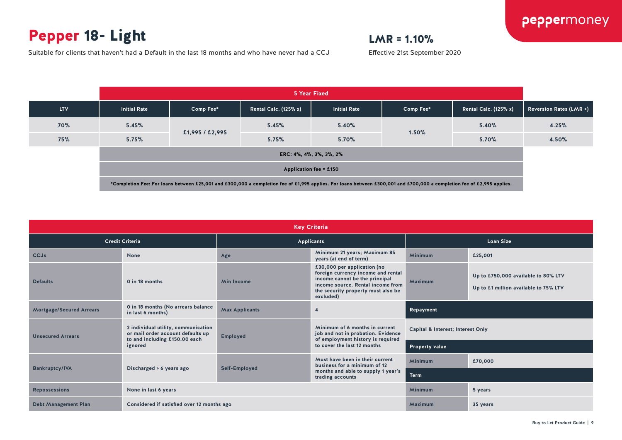## Pepper 18- Light

Suitable for clients that haven't had a Default in the last 18 months and who have never had a CCJ

## $LMR = 1.10%$

Effective 21st September 2020

**5 Year Fixed LTV Initial Rate Comp Fee\* Rental Calc. (125% x) Initial Rate Comp Fee\* Rental Calc. (125% x) Reversion Rates (LMR +) 70% 5.45% £1,995 / £2,995 5.45% 5.40% 1.50% 5.40% 4.25% 75% 5.75% 5.75% 5.70% 5.70% 4.50% ERC: 4%, 4%, 3%, 3%, 2% Application fee = £150 \*Completion Fee: For loans between £25,001 and £300,000 a completion fee of £1,995 applies. For loans between £300,001 and £700,000 a completion fee of £2,995 applies.**

| <b>Key Criteria</b>         |                                                                                                                      |                       |                                                                                                                                                                                             |                                   |                                                                              |  |  |
|-----------------------------|----------------------------------------------------------------------------------------------------------------------|-----------------------|---------------------------------------------------------------------------------------------------------------------------------------------------------------------------------------------|-----------------------------------|------------------------------------------------------------------------------|--|--|
| <b>Credit Criteria</b>      |                                                                                                                      | Applicants            |                                                                                                                                                                                             | <b>Loan Size</b>                  |                                                                              |  |  |
| <b>CCJs</b>                 | None                                                                                                                 | Age                   | Minimum 21 years; Maximum 85<br>years (at end of term)                                                                                                                                      | Minimum                           | £25,001                                                                      |  |  |
| <b>Defaults</b>             | 0 in 18 months                                                                                                       | <b>Min Income</b>     | £30,000 per application (no<br>foreign currency income and rental<br>income cannot be the principal<br>income source. Rental income from<br>the security property must also be<br>excluded) | Maximum                           | Up to £750,000 available to 80% LTV<br>Up to £1 million available to 75% LTV |  |  |
| Mortgage/Secured Arrears    | 0 in 18 months (No arrears balance<br>in last 6 months)                                                              | <b>Max Applicants</b> | $\overline{4}$                                                                                                                                                                              | Repayment                         |                                                                              |  |  |
| <b>Unsecured Arrears</b>    | 2 individual utility, communication<br>or mail order account defaults up<br>to and including £150.00 each<br>ignored | <b>Employed</b>       | Minimum of 6 months in current<br>job and not in probation. Evidence<br>of employment history is required<br>to cover the last 12 months                                                    | Capital & Interest; Interest Only |                                                                              |  |  |
|                             |                                                                                                                      |                       |                                                                                                                                                                                             | <b>Property value</b>             |                                                                              |  |  |
|                             | Discharged > 6 years ago                                                                                             | Self-Employed         | Must have been in their current<br>business for a minimum of 12<br>months and able to supply 1 year's<br>trading accounts                                                                   | Minimum                           | £70,000                                                                      |  |  |
| <b>Bankruptcy/IVA</b>       |                                                                                                                      |                       |                                                                                                                                                                                             | <b>Term</b>                       |                                                                              |  |  |
| <b>Repossessions</b>        | None in last 6 years                                                                                                 |                       |                                                                                                                                                                                             | Minimum                           | 5 years                                                                      |  |  |
| <b>Debt Management Plan</b> | Considered if satisfied over 12 months ago                                                                           |                       |                                                                                                                                                                                             | Maximum                           | 35 years                                                                     |  |  |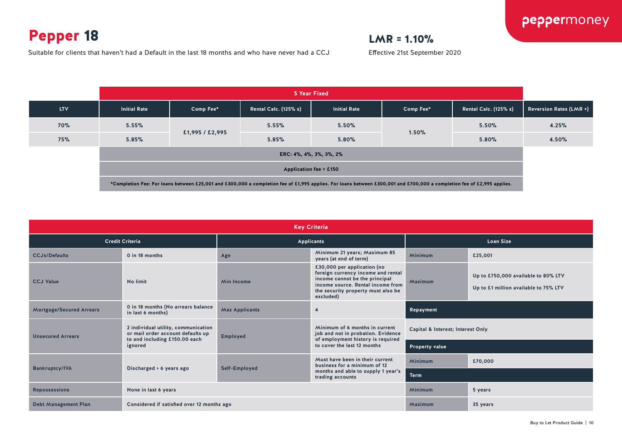## Pepper 18

## $LMR = 1.10%$

Effective 21st September 2020

Suitable for clients that haven't had a Default in the last 18 months and who have never had a CCJ

|                                                                                                                                                                                                   | 5 Year Fixed            |                 |                              |                     |           |                              |                                |
|---------------------------------------------------------------------------------------------------------------------------------------------------------------------------------------------------|-------------------------|-----------------|------------------------------|---------------------|-----------|------------------------------|--------------------------------|
| <b>LTV</b>                                                                                                                                                                                        | <b>Initial Rate</b>     | Comp Fee*       | <b>Rental Calc. (125% x)</b> | <b>Initial Rate</b> | Comp Fee* | <b>Rental Calc. (125% x)</b> | <b>Reversion Rates (LMR +)</b> |
| 70%                                                                                                                                                                                               | 5.55%                   | £1,995 / £2,995 | 5.55%                        | 5.50%               | 1.50%     | 5.50%                        | 4.25%                          |
| 75%                                                                                                                                                                                               | 5.85%                   |                 | 5.85%                        | 5.80%               |           | 5.80%                        | 4.50%                          |
|                                                                                                                                                                                                   | ERC: 4%, 4%, 3%, 3%, 2% |                 |                              |                     |           |                              |                                |
| Application fee = £150<br>*Completion Fee: For loans between £25,001 and £300,000 a completion fee of £1,995 applies. For loans between £300,001 and £700,000 a completion fee of £2,995 applies. |                         |                 |                              |                     |           |                              |                                |
|                                                                                                                                                                                                   |                         |                 |                              |                     |           |                              |                                |

| <b>Key Criteria</b>             |                                                                          |                                                               |                                                                                                                                                                                             |                                   |                                                                              |  |  |
|---------------------------------|--------------------------------------------------------------------------|---------------------------------------------------------------|---------------------------------------------------------------------------------------------------------------------------------------------------------------------------------------------|-----------------------------------|------------------------------------------------------------------------------|--|--|
| <b>Credit Criteria</b>          |                                                                          | Applicants                                                    |                                                                                                                                                                                             | <b>Loan Size</b>                  |                                                                              |  |  |
| <b>CCJs/Defaults</b>            | 0 in 18 months                                                           | Minimum 21 years; Maximum 85<br>Age<br>years (at end of term) |                                                                                                                                                                                             | Minimum                           | £25,001                                                                      |  |  |
| <b>CCJ Value</b>                | No limit                                                                 | <b>Min Income</b>                                             | £30,000 per application (no<br>foreign currency income and rental<br>income cannot be the principal<br>income source. Rental income from<br>the security property must also be<br>excluded) | Maximum                           | Up to £750,000 available to 80% LTV<br>Up to £1 million available to 75% LTV |  |  |
| <b>Mortgage/Secured Arrears</b> | 0 in 18 months (No arrears balance<br>in last 6 months)                  | <b>Max Applicants</b>                                         | $\overline{4}$                                                                                                                                                                              | Repayment                         |                                                                              |  |  |
| <b>Unsecured Arrears</b>        | 2 individual utility, communication<br>or mail order account defaults up | <b>Employed</b>                                               | Minimum of 6 months in current<br>job and not in probation. Evidence<br>of employment history is required<br>to cover the last 12 months                                                    | Capital & Interest; Interest Only |                                                                              |  |  |
|                                 | to and including £150.00 each<br>ignored                                 |                                                               |                                                                                                                                                                                             | <b>Property value</b>             |                                                                              |  |  |
|                                 | Discharged > 6 years ago                                                 |                                                               | Must have been in their current<br>business for a minimum of 12<br>months and able to supply 1 year's<br>trading accounts                                                                   | <b>Minimum</b>                    | £70,000                                                                      |  |  |
| <b>Bankruptcy/IVA</b>           |                                                                          | Self-Employed                                                 |                                                                                                                                                                                             | <b>Term</b>                       |                                                                              |  |  |
| <b>Repossessions</b>            | None in last 6 years                                                     |                                                               |                                                                                                                                                                                             | <b>Minimum</b>                    | 5 years                                                                      |  |  |
| <b>Debt Management Plan</b>     | Considered if satisfied over 12 months ago                               |                                                               |                                                                                                                                                                                             | Maximum                           | 35 years                                                                     |  |  |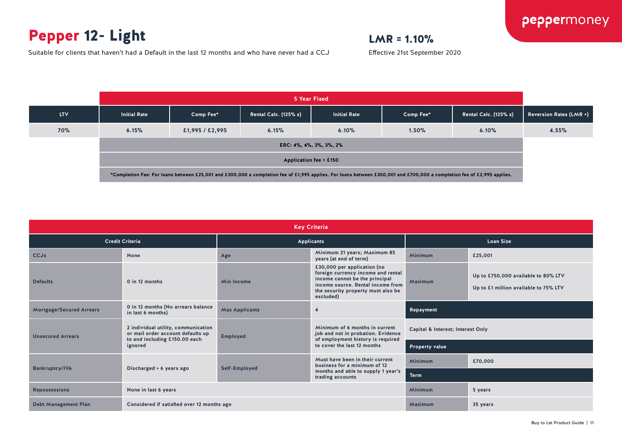## Pepper 12- Light

Suitable for clients that haven't had a Default in the last 12 months and who have never had a CCJ

## $LMR = 1.10%$

Effective 21st September 2020

|                                                                                                                                                                         | 5 Year Fixed            |                 |                              |                     |           |                              |                         |
|-------------------------------------------------------------------------------------------------------------------------------------------------------------------------|-------------------------|-----------------|------------------------------|---------------------|-----------|------------------------------|-------------------------|
| <b>LTV</b>                                                                                                                                                              | <b>Initial Rate</b>     | Comp Fee*       | <b>Rental Calc. (125% x)</b> | <b>Initial Rate</b> | Comp Fee* | <b>Rental Calc. (125% x)</b> | Reversion Rates (LMR +) |
| 70%                                                                                                                                                                     | 6.15%                   | £1,995 / £2,995 | 6.15%                        | 6.10%               | 1.50%     | 6.10%                        | 4.55%                   |
|                                                                                                                                                                         | ERC: 4%, 4%, 3%, 3%, 2% |                 |                              |                     |           |                              |                         |
|                                                                                                                                                                         | Application fee = £150  |                 |                              |                     |           |                              |                         |
| *Completion Fee: For loans between £25,001 and £300,000 a completion fee of £1,995 applies. For loans between £300,001 and £700,000 a completion fee of £2,995 applies. |                         |                 |                              |                     |           |                              |                         |

| <b>Key Criteria</b>             |                                                                                                           |                                                               |                                                                                                                                                                                             |                                   |                                                                              |  |  |
|---------------------------------|-----------------------------------------------------------------------------------------------------------|---------------------------------------------------------------|---------------------------------------------------------------------------------------------------------------------------------------------------------------------------------------------|-----------------------------------|------------------------------------------------------------------------------|--|--|
| <b>Credit Criteria</b>          |                                                                                                           | <b>Applicants</b>                                             |                                                                                                                                                                                             | <b>Loan Size</b>                  |                                                                              |  |  |
| <b>CCJs</b>                     | <b>None</b>                                                                                               | Minimum 21 years; Maximum 85<br>Age<br>years (at end of term) |                                                                                                                                                                                             | Minimum                           | £25,001                                                                      |  |  |
| <b>Defaults</b>                 | 0 in 12 months                                                                                            | <b>Min Income</b>                                             | £30,000 per application (no<br>foreign currency income and rental<br>income cannot be the principal<br>income source. Rental income from<br>the security property must also be<br>excluded) | Maximum                           | Up to £750,000 available to 80% LTV<br>Up to £1 million available to 75% LTV |  |  |
| <b>Mortgage/Secured Arrears</b> | 0 in 12 months (No arrears balance<br>in last 6 months)                                                   | <b>Max Applicants</b>                                         | $\overline{4}$                                                                                                                                                                              | Repayment                         |                                                                              |  |  |
| <b>Unsecured Arrears</b>        | 2 individual utility, communication<br>or mail order account defaults up<br>to and including £150.00 each | <b>Employed</b>                                               | Minimum of 6 months in current<br>job and not in probation. Evidence<br>of employment history is required<br>to cover the last 12 months                                                    | Capital & Interest; Interest Only |                                                                              |  |  |
|                                 | ignored                                                                                                   |                                                               |                                                                                                                                                                                             | <b>Property value</b>             |                                                                              |  |  |
|                                 |                                                                                                           |                                                               | Must have been in their current<br>business for a minimum of 12<br>months and able to supply 1 year's<br>trading accounts                                                                   | Minimum                           | £70,000                                                                      |  |  |
| <b>Bankruptcy/IVA</b>           | Discharged > 6 years ago                                                                                  | Self-Employed                                                 |                                                                                                                                                                                             | <b>Term</b>                       |                                                                              |  |  |
| <b>Repossessions</b>            | None in last 6 years                                                                                      |                                                               |                                                                                                                                                                                             |                                   | 5 years                                                                      |  |  |
| <b>Debt Management Plan</b>     | Considered if satisfied over 12 months ago                                                                |                                                               |                                                                                                                                                                                             | Maximum                           | 35 years                                                                     |  |  |